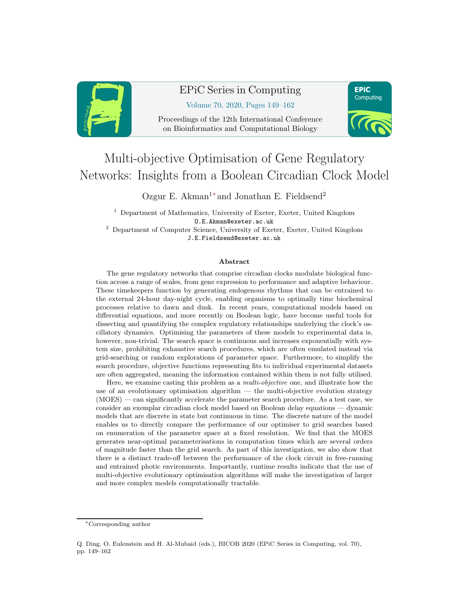

# EPiC Series in Computing

**EPIC** Computing

Volume 70, 2020, Pages 149–162

Proceedings of the 12th International Conference on Bioinformatics and Computational Biology



Ozgur E. Akman<sup>1</sup>\* and Jonathan E. Fieldsend<sup>2</sup>

<sup>1</sup> Department of Mathematics, University of Exeter, Exeter, United Kingdom O.E.Akman@exeter.ac.uk <sup>2</sup> Department of Computer Science, University of Exeter, Exeter, United Kingdom J.E.Fieldsend@exeter.ac.uk

#### Abstract

The gene regulatory networks that comprise circadian clocks modulate biological function across a range of scales, from gene expression to performance and adaptive behaviour. These timekeepers function by generating endogenous rhythms that can be entrained to the external 24-hour day-night cycle, enabling organisms to optimally time biochemical processes relative to dawn and dusk. In recent years, computational models based on differential equations, and more recently on Boolean logic, have become useful tools for dissecting and quantifying the complex regulatory relationships underlying the clock's oscillatory dynamics. Optimising the parameters of these models to experimental data is, however, non-trivial. The search space is continuous and increases exponentially with system size, prohibiting exhaustive search procedures, which are often emulated instead via grid-searching or random explorations of parameter space. Furthermore, to simplify the search procedure, objective functions representing fits to individual experimental datasets are often aggregated, meaning the information contained within them is not fully utilised.

Here, we examine casting this problem as a *multi-objective* one, and illustrate how the use of an evolutionary optimisation algorithm — the multi-objective evolution strategy (MOES) — can significantly accelerate the parameter search procedure. As a test case, we consider an exemplar circadian clock model based on Boolean delay equations — dynamic models that are discrete in state but continuous in time. The discrete nature of the model enables us to directly compare the performance of our optimiser to grid searches based on enumeration of the parameter space at a fixed resolution. We find that the MOES generates near-optimal parameterisations in computation times which are several orders of magnitude faster than the grid search. As part of this investigation, we also show that there is a distinct trade-off between the performance of the clock circuit in free-running and entrained photic environments. Importantly, runtime results indicate that the use of multi-objective evolutionary optimisation algorithms will make the investigation of larger and more complex models computationally tractable.

<sup>∗</sup>Corresponding author

Q. Ding, O. Eulenstein and H. Al-Mubaid (eds.), BICOB 2020 (EPiC Series in Computing, vol. 70), pp. 149–162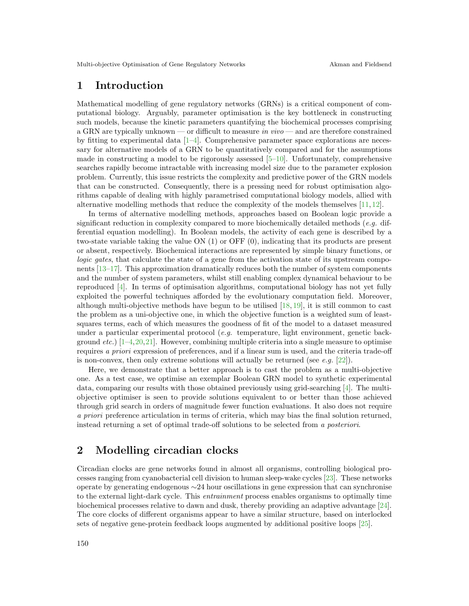## 1 Introduction

Mathematical modelling of gene regulatory networks (GRNs) is a critical component of computational biology. Arguably, parameter optimisation is the key bottleneck in constructing such models, because the kinetic parameters quantifying the biochemical processes comprising a GRN are typically unknown — or difficult to measure in  $vivo$  — and are therefore constrained by fitting to experimental data [\[1](#page-12-0)[–4\]](#page-12-1). Comprehensive parameter space explorations are necessary for alternative models of a GRN to be quantitatively compared and for the assumptions made in constructing a model to be rigorously assessed  $[5-10]$ . Unfortunately, comprehensive searches rapidly become intractable with increasing model size due to the parameter explosion problem. Currently, this issue restricts the complexity and predictive power of the GRN models that can be constructed. Consequently, there is a pressing need for robust optimisation algorithms capable of dealing with highly parametrised computational biology models, allied with alternative modelling methods that reduce the complexity of the models themselves [\[11,](#page-12-4) [12\]](#page-12-5).

In terms of alternative modelling methods, approaches based on Boolean logic provide a significant reduction in complexity compared to more biochemically detailed methods  $(e.g.$  differential equation modelling). In Boolean models, the activity of each gene is described by a two-state variable taking the value ON (1) or OFF (0), indicating that its products are present or absent, respectively. Biochemical interactions are represented by simple binary functions, or logic gates, that calculate the state of a gene from the activation state of its upstream components [\[13–](#page-12-6)[17\]](#page-12-7). This approximation dramatically reduces both the number of system components and the number of system parameters, whilst still enabling complex dynamical behaviour to be reproduced [\[4\]](#page-12-1). In terms of optimisation algorithms, computational biology has not yet fully exploited the powerful techniques afforded by the evolutionary computation field. Moreover, although multi-objective methods have begun to be utilised [\[18,](#page-12-8) [19\]](#page-12-9), it is still common to cast the problem as a uni-objective one, in which the objective function is a weighted sum of leastsquares terms, each of which measures the goodness of fit of the model to a dataset measured under a particular experimental protocol (e.g. temperature, light environment, genetic background *etc.*) [ $1-4,20,21$  $1-4,20,21$  $1-4,20,21$ ]. However, combining multiple criteria into a single measure to optimise requires a priori expression of preferences, and if a linear sum is used, and the criteria trade-off is non-convex, then only extreme solutions will actually be returned (see e.g.  $[22]$ ).

Here, we demonstrate that a better approach is to cast the problem as a multi-objective one. As a test case, we optimise an exemplar Boolean GRN model to synthetic experimental data, comparing our results with those obtained previously using grid-searching [\[4\]](#page-12-1). The multiobjective optimiser is seen to provide solutions equivalent to or better than those achieved through grid search in orders of magnitude fewer function evaluations. It also does not require a priori preference articulation in terms of criteria, which may bias the final solution returned, instead returning a set of optimal trade-off solutions to be selected from a posteriori.

## 2 Modelling circadian clocks

Circadian clocks are gene networks found in almost all organisms, controlling biological processes ranging from cyanobacterial cell division to human sleep-wake cycles [\[23\]](#page-12-13). These networks operate by generating endogenous ∼24 hour oscillations in gene expression that can synchronise to the external light-dark cycle. This entrainment process enables organisms to optimally time biochemical processes relative to dawn and dusk, thereby providing an adaptive advantage [\[24\]](#page-12-14). The core clocks of different organisms appear to have a similar structure, based on interlocked sets of negative gene-protein feedback loops augmented by additional positive loops [\[25\]](#page-12-15).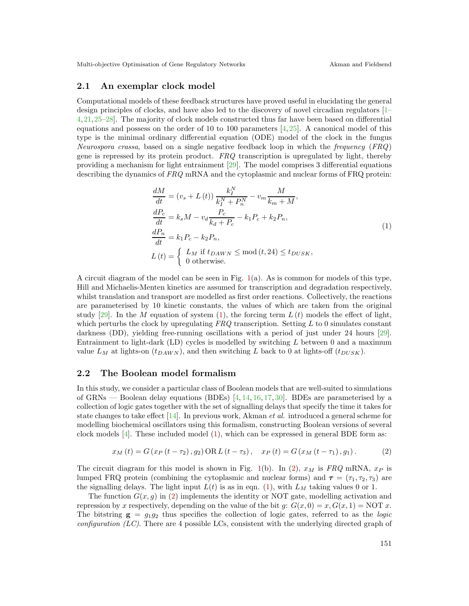#### 2.1 An exemplar clock model

Computational models of these feedback structures have proved useful in elucidating the general design principles of clocks, and have also led to the discovery of novel circadian regulators [\[1–](#page-12-0) [4,](#page-12-1)[21,](#page-12-11)[25](#page-12-15)[–28\]](#page-12-16). The majority of clock models constructed thus far have been based on differential equations and possess on the order of 10 to 100 parameters  $[4,25]$  $[4,25]$ . A canonical model of this type is the minimal ordinary differential equation (ODE) model of the clock in the fungus Neurospora crassa, based on a single negative feedback loop in which the frequency (FRQ) gene is repressed by its protein product.  $FRQ$  transcription is upregulated by light, thereby providing a mechanism for light entrainment [\[29\]](#page-12-17). The model comprises 3 differential equations describing the dynamics of FRQ mRNA and the cytoplasmic and nuclear forms of FRQ protein:

<span id="page-2-0"></span>
$$
\frac{dM}{dt} = (v_s + L(t)) \frac{k_I^N}{k_I^N + P_n^N} - v_m \frac{M}{k_m + M},
$$
\n
$$
\frac{dP_c}{dt} = k_s M - v_d \frac{P_c}{k_d + P_c} - k_1 P_c + k_2 P_n,
$$
\n
$$
\frac{dP_n}{dt} = k_1 P_c - k_2 P_n,
$$
\n
$$
L(t) = \begin{cases} L_M & \text{if } t_{DAWN} \le \text{mod} \ (t, 24) \le t_{DUSK}, \\ 0 & \text{otherwise.} \end{cases}
$$
\n(1)

A circuit diagram of the model can be seen in Fig.  $1(a)$  $1(a)$ . As is common for models of this type, Hill and Michaelis-Menten kinetics are assumed for transcription and degradation respectively, whilst translation and transport are modelled as first order reactions. Collectively, the reactions are parameterised by 10 kinetic constants, the values of which are taken from the original study [\[29\]](#page-12-17). In the M equation of system [\(1\)](#page-2-0), the forcing term  $L(t)$  models the effect of light, which perturbs the clock by upregulating  $FRQ$  transcription. Setting L to 0 simulates constant darkness (DD), yielding free-running oscillations with a period of just under 24 hours [\[29\]](#page-12-17). Entrainment to light-dark  $(LD)$  cycles is modelled by switching  $L$  between 0 and a maximum value  $L_M$  at lights-on  $(t_{DAWN})$ , and then switching L back to 0 at lights-off  $(t_{DUSK})$ .

#### 2.2 The Boolean model formalism

In this study, we consider a particular class of Boolean models that are well-suited to simulations of GRNs — Boolean delay equations (BDEs) [\[4,](#page-12-1) [14,](#page-12-18) [16,](#page-12-19) [17,](#page-12-7) [30\]](#page-12-20). BDEs are parameterised by a collection of logic gates together with the set of signalling delays that specify the time it takes for state changes to take effect  $[14]$ . In previous work, Akman *et al.* introduced a general scheme for modelling biochemical oscillators using this formalism, constructing Boolean versions of several clock models [\[4\]](#page-12-1). These included model [\(1\)](#page-2-0), which can be expressed in general BDE form as:

<span id="page-2-1"></span>
$$
x_{M}(t) = G(x_{P}(t - \tau_{2}), g_{2}) \text{ OR } L(t - \tau_{3}), \quad x_{P}(t) = G(x_{M}(t - \tau_{1}), g_{1}). \tag{2}
$$

The circuit diagram for this model is shown in Fig. [1\(](#page-3-0)b). In [\(2\)](#page-2-1),  $x_M$  is FRQ mRNA,  $x_P$  is lumped FRQ protein (combining the cytoplasmic and nuclear forms) and  $\tau = (\tau_1, \tau_2, \tau_3)$  are the signalling delays. The light input  $L(t)$  is as in eqn. [\(1\)](#page-2-0), with  $L_M$  taking values 0 or 1.

The function  $G(x, g)$  in [\(2\)](#page-2-1) implements the identity or NOT gate, modelling activation and repression by x respectively, depending on the value of the bit  $g: G(x, 0) = x, G(x, 1) = NOT x$ . The bitstring  $g = g_1 g_2$  thus specifies the collection of logic gates, referred to as the *logic* configuration  $(LC)$ . There are 4 possible LCs, consistent with the underlying directed graph of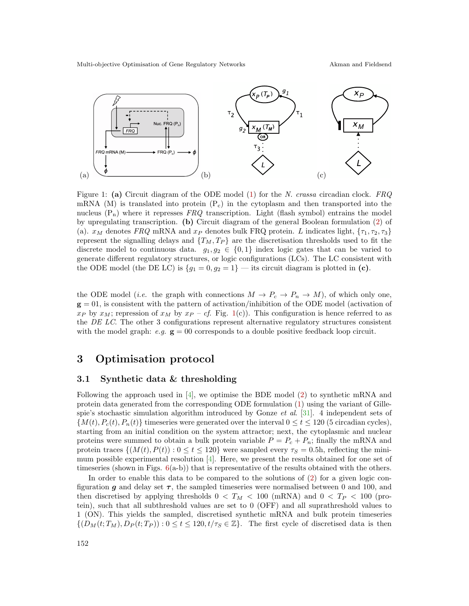<span id="page-3-0"></span>

Figure 1: (a) Circuit diagram of the ODE model [\(1\)](#page-2-0) for the N. crassa circadian clock. FRQ mRNA (M) is translated into protein  $(P_c)$  in the cytoplasm and then transported into the nucleus  $(P_n)$  where it represses FRQ transcription. Light (flash symbol) entrains the model by upregulating transcription. (b) Circuit diagram of the general Boolean formulation [\(2\)](#page-2-1) of (a).  $x_M$  denotes FRQ mRNA and  $x_P$  denotes bulk FRQ protein. L indicates light,  $\{\tau_1, \tau_2, \tau_3\}$ represent the signalling delays and  $\{T_M, T_P\}$  are the discretisation thresholds used to fit the discrete model to continuous data.  $g_1, g_2 \in \{0, 1\}$  index logic gates that can be varied to generate different regulatory structures, or logic configurations (LCs). The LC consistent with the ODE model (the DE LC) is  $\{g_1 = 0, g_2 = 1\}$  — its circuit diagram is plotted in (c).

the ODE model (*i.e.* the graph with connections  $M \to P_c \to P_n \to M$ ), of which only one,  $g = 01$ , is consistent with the pattern of activation/inhibition of the ODE model (activation of  $x_P$  by  $x_M$ ; repression of  $x_M$  by  $x_P - cf$ . Fig. [1\(](#page-3-0)c)). This configuration is hence referred to as the DE LC. The other 3 configurations represent alternative regulatory structures consistent with the model graph:  $e.g.$   $\mathbf{g} = 00$  corresponds to a double positive feedback loop circuit.

### 3 Optimisation protocol

#### 3.1 Synthetic data & thresholding

Following the approach used in [\[4\]](#page-12-1), we optimise the BDE model [\(2\)](#page-2-1) to synthetic mRNA and protein data generated from the corresponding ODE formulation [\(1\)](#page-2-0) using the variant of Gillespie's stochastic simulation algorithm introduced by Gonze et al. [\[31\]](#page-12-21). 4 independent sets of  $\{M(t), P_c(t), P_n(t)\}\$ timeseries were generated over the interval  $0 \le t \le 120$  (5 circadian cycles), starting from an initial condition on the system attractor; next, the cytoplasmic and nuclear proteins were summed to obtain a bulk protein variable  $P = P_c + P_n$ ; finally the mRNA and protein traces  $\{(M(t), P(t)) : 0 \le t \le 120\}$  were sampled every  $\tau_s = 0.5$ h, reflecting the minimum possible experimental resolution [\[4\]](#page-12-1). Here, we present the results obtained for one set of timeseries (shown in Figs.  $6(a-b)$  $6(a-b)$ ) that is representative of the results obtained with the others.

In order to enable this data to be compared to the solutions of [\(2\)](#page-2-1) for a given logic configuration g and delay set  $\tau$ , the sampled timeseries were normalised between 0 and 100, and then discretised by applying thresholds  $0 < T_M < 100$  (mRNA) and  $0 < T_P < 100$  (protein), such that all subthreshold values are set to 0 (OFF) and all suprathreshold values to 1 (ON). This yields the sampled, discretised synthetic mRNA and bulk protein timeseries  $\{(D_M(t; T_M), D_P(t; T_P)) : 0 \le t \le 120, t/\tau_S \in \mathbb{Z}\}.$  The first cycle of discretised data is then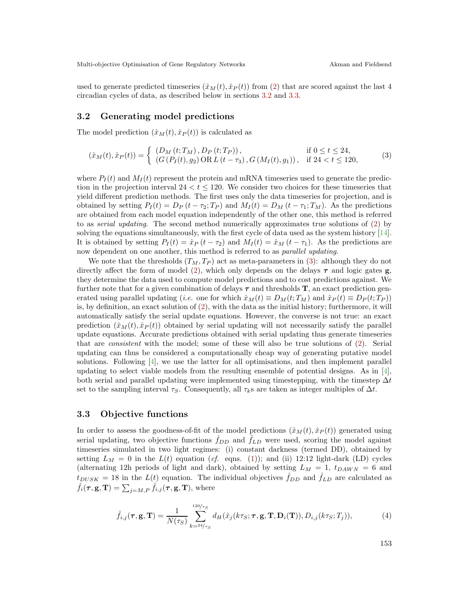used to generate predicted timeseries  $(\hat{x}_M(t), \hat{x}_P(t))$  from [\(2\)](#page-2-1) that are scored against the last 4 circadian cycles of data, as described below in sections [3.2](#page-4-0) and [3.3.](#page-4-1)

#### <span id="page-4-0"></span>3.2 Generating model predictions

The model prediction  $(\hat{x}_M(t), \hat{x}_P(t))$  is calculated as

<span id="page-4-2"></span>
$$
(\hat{x}_M(t), \hat{x}_P(t)) = \begin{cases} (D_M(t; T_M), D_P(t; T_P)), & \text{if } 0 \le t \le 24, \\ (G(P_I(t), g_2) \text{ OR } L(t - \tau_3), G(M_I(t), g_1)), & \text{if } 24 < t \le 120, \end{cases}
$$
(3)

where  $P_I(t)$  and  $M_I(t)$  represent the protein and mRNA timeseries used to generate the prediction in the projection interval  $24 < t \le 120$ . We consider two choices for these timeseries that yield different prediction methods. The first uses only the data timeseries for projection, and is obtained by setting  $P_I(t) = D_P(t - \tau_2; T_P)$  and  $M_I(t) = D_M(t - \tau_1; T_M)$ . As the predictions are obtained from each model equation independently of the other one, this method is referred to as serial updating. The second method numerically approximates true solutions of [\(2\)](#page-2-1) by solving the equations simultaneously, with the first cycle of data used as the system history [\[14\]](#page-12-18). It is obtained by setting  $P_I(t) = \hat{x}_P(t - \tau_2)$  and  $M_I(t) = \hat{x}_M(t - \tau_1)$ . As the predictions are now dependent on one another, this method is referred to as *parallel updating*.

We note that the thresholds  $(T_M, T_P)$  act as meta-parameters in [\(3\)](#page-4-2): although they do not directly affect the form of model [\(2\)](#page-2-1), which only depends on the delays  $\tau$  and logic gates g, they determine the data used to compute model predictions and to cost predictions against. We further note that for a given combination of delays  $\tau$  and thresholds  $\mathbf{T}$ , an exact prediction generated using parallel updating (*i.e.* one for which  $\hat{x}_M(t) \equiv D_M(t; T_M)$  and  $\hat{x}_P(t) \equiv D_P(t; T_P)$ ) is, by definition, an exact solution of  $(2)$ , with the data as the initial history; furthermore, it will automatically satisfy the serial update equations. However, the converse is not true: an exact prediction  $(\hat{x}_M(t), \hat{x}_P(t))$  obtained by serial updating will not necessarily satisfy the parallel update equations. Accurate predictions obtained with serial updating thus generate timeseries that are consistent with the model; some of these will also be true solutions of [\(2\)](#page-2-1). Serial updating can thus be considered a computationally cheap way of generating putative model solutions. Following [\[4\]](#page-12-1), we use the latter for all optimisations, and then implement parallel updating to select viable models from the resulting ensemble of potential designs. As in [\[4\]](#page-12-1), both serial and parallel updating were implemented using timestepping, with the timestep  $\Delta t$ set to the sampling interval  $\tau_S$ . Consequently, all  $\tau_k$ s are taken as integer multiples of  $\Delta t$ .

#### <span id="page-4-1"></span>3.3 Objective functions

In order to assess the goodness-of-fit of the model predictions  $(\hat{x}_M(t), \hat{x}_P(t))$  generated using serial updating, two objective functions  $f_{DD}$  and  $f_{LD}$  were used, scoring the model against timeseries simulated in two light regimes: (i) constant darkness (termed DD), obtained by setting  $L_M = 0$  in the  $L(t)$  equation (cf. eqns. [\(1\)](#page-2-0)); and (ii) 12:12 light-dark (LD) cycles (alternating 12h periods of light and dark), obtained by setting  $L_M = 1$ ,  $t_{DAWN} = 6$  and  $t_{DUSK} = 18$  in the  $L(t)$  equation. The individual objectives  $\hat{f}_{DD}$  and  $\hat{f}_{LD}$  are calculated as  $\hat{f}_i(\pmb{\tau}, \mathbf{g}, \mathbf{T}) = \sum_{j=M,P} \hat{f}_{i,j}(\pmb{\tau}, \mathbf{g}, \mathbf{T}),$  where

$$
\hat{f}_{i,j}(\boldsymbol{\tau}, \mathbf{g}, \mathbf{T}) = \frac{1}{N(\tau_S)} \sum_{k=24/\tau_S}^{120/\tau_S} d_H(\hat{x}_j(k\tau_S; \boldsymbol{\tau}, \mathbf{g}, \mathbf{T}, \mathbf{D}_i(\mathbf{T})), D_{i,j}(k\tau_S; T_j)),
$$
\n(4)

153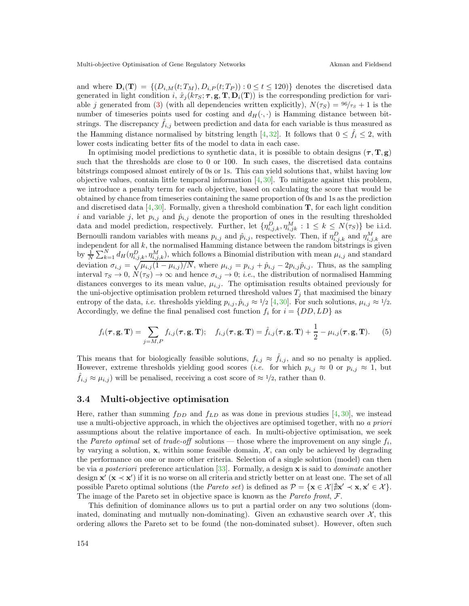and where  $\mathbf{D}_i(\mathbf{T}) = \{ (D_{i,M}(t; T_M), D_{i,P}(t; T_P)) : 0 \le t \le 120) \}$  denotes the discretised data generated in light condition i,  $\hat{x}_j(k\tau_\mathcal{S}; \tau, \mathbf{g}, \mathbf{T}, \mathbf{D}_i(\mathbf{T}))$  is the corresponding prediction for vari-able j generated from [\(3\)](#page-4-2) (with all dependencies written explicitly),  $N(\tau_S) = \frac{96}{\tau_S} + 1$  is the number of timeseries points used for costing and  $d_H(\cdot, \cdot)$  is Hamming distance between bitstrings. The discrepancy  $\hat{f}_{i,j}$  between prediction and data for each variable is thus measured as the Hamming distance normalised by bitstring length [\[4,](#page-12-1)[32\]](#page-12-22). It follows that  $0 \leq \hat{f}_i \leq 2$ , with lower costs indicating better fits of the model to data in each case.

In optimising model predictions to synthetic data, it is possible to obtain designs  $(\tau, T, g)$ such that the thresholds are close to 0 or 100. In such cases, the discretised data contains bitstrings composed almost entirely of 0s or 1s. This can yield solutions that, whilst having low objective values, contain little temporal information  $[4, 30]$  $[4, 30]$ . To mitigate against this problem, we introduce a penalty term for each objective, based on calculating the score that would be obtained by chance from timeseries containing the same proportion of 0s and 1s as the prediction and discretised data [\[4,](#page-12-1)[30\]](#page-12-20). Formally, given a threshold combination  $\bf{T}$ , for each light condition i and variable j, let  $p_{i,j}$  and  $\hat{p}_{i,j}$  denote the proportion of ones in the resulting thresholded data and model prediction, respectively. Further, let  $\{\eta_{i,j,k}^D, \eta_{i,jk}^M : 1 \leq k \leq N(\tau_S)\}\$  be i.i.d. Bernoulli random variables with means  $p_{i,j}$  and  $\hat{p}_{i,j}$ , respectively. Then, if  $\eta_{i,j,k}^D$  and  $\eta_{i,j,k}^M$  are independent for all  $k$ , the normalised Hamming distance between the random bitstrings is given by  $\frac{1}{N}\sum_{k=1}^N d_H(\eta_{i,j,k}^D, \eta_{i,j,k}^M)$ , which follows a Binomial distribution with mean  $\mu_{i,j}$  and standard deviation  $\sigma_{i,j} = \sqrt{\mu_{i,j}(1-\mu_{i,j})/N}$ , where  $\mu_{i,j} = p_{i,j} + \hat{p}_{i,j} - 2p_{i,j}\hat{p}_{i,j}$ . Thus, as the sampling interval  $\tau_S \to 0$ ,  $N(\tau_S) \to \infty$  and hence  $\sigma_{i,j} \to 0$ ; *i.e.*, the distribution of normalised Hamming distances converges to its mean value,  $\mu_{i,j}$ . The optimisation results obtained previously for the uni-objective optimisation problem returned threshold values  $T_i$  that maximised the binary entropy of the data, *i.e.* thresholds yielding  $p_{i,j}, \hat{p}_{i,j} \approx 1/2$  [\[4,](#page-12-1)[30\]](#page-12-20). For such solutions,  $\mu_{i,j} \approx 1/2$ . Accordingly, we define the final penalised cost function  $f_i$  for  $i = \{DD, LD\}$  as

$$
f_i(\boldsymbol{\tau}, \mathbf{g}, \mathbf{T}) = \sum_{j=M,P} f_{i,j}(\boldsymbol{\tau}, \mathbf{g}, \mathbf{T}); \quad f_{i,j}(\boldsymbol{\tau}, \mathbf{g}, \mathbf{T}) = \hat{f}_{i,j}(\boldsymbol{\tau}, \mathbf{g}, \mathbf{T}) + \frac{1}{2} - \mu_{i,j}(\boldsymbol{\tau}, \mathbf{g}, \mathbf{T}). \tag{5}
$$

This means that for biologically feasible solutions,  $f_{i,j} \approx \hat{f}_{i,j}$ , and so no penalty is applied. However, extreme thresholds yielding good scores (*i.e.* for which  $p_{i,j} \approx 0$  or  $p_{i,j} \approx 1$ , but  $\hat{f}_{i,j} \approx \mu_{i,j}$ ) will be penalised, receiving a cost score of  $\approx 1/2$ , rather than 0.

### 3.4 Multi-objective optimisation

Here, rather than summing  $f_{DD}$  and  $f_{LD}$  as was done in previous studies [\[4,](#page-12-1) [30\]](#page-12-20), we instead use a multi-objective approach, in which the objectives are optimised together, with no a priori assumptions about the relative importance of each. In multi-objective optimisation, we seek the Pareto optimal set of trade-off solutions — those where the improvement on any single  $f_i$ , by varying a solution,  $x$ , within some feasible domain,  $\mathcal{X}$ , can only be achieved by degrading the performance on one or more other criteria. Selection of a single solution (model) can then be via a posteriori preference articulation [\[33\]](#page-12-23). Formally, a design x is said to dominate another design  $\mathbf{x}'$   $(\mathbf{x} \prec \mathbf{x}')$  if it is no worse on all criteria and strictly better on at least one. The set of all possible Pareto optimal solutions (the *Pareto set*) is defined as  $\mathcal{P} = \{ \mathbf{x} \in \mathcal{X} | \exists \mathbf{x}' \prec \mathbf{x}, \mathbf{x}' \in \mathcal{X} \}.$ The image of the Pareto set in objective space is known as the *Pareto front*, F.

This definition of dominance allows us to put a partial order on any two solutions (dominated, dominating and mutually non-dominating). Given an exhaustive search over  $\mathcal{X}$ , this ordering allows the Pareto set to be found (the non-dominated subset). However, often such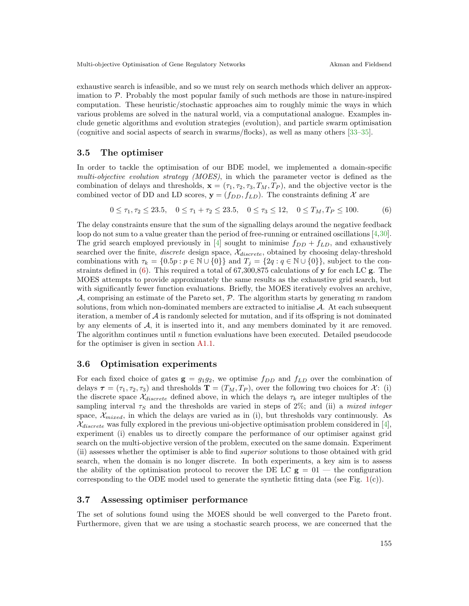exhaustive search is infeasible, and so we must rely on search methods which deliver an approximation to  $P$ . Probably the most popular family of such methods are those in nature-inspired computation. These heuristic/stochastic approaches aim to roughly mimic the ways in which various problems are solved in the natural world, via a computational analogue. Examples include genetic algorithms and evolution strategies (evolution), and particle swarm optimisation (cognitive and social aspects of search in swarms/flocks), as well as many others [\[33–](#page-12-23)[35\]](#page-12-24).

### 3.5 The optimiser

In order to tackle the optimisation of our BDE model, we implemented a domain-specific multi-objective evolution strategy (MOES), in which the parameter vector is defined as the combination of delays and thresholds,  $\mathbf{x} = (\tau_1, \tau_2, \tau_3, T_M, T_P)$ , and the objective vector is the combined vector of DD and LD scores,  $y = (f_{DD}, f_{LD})$ . The constraints defining X are

<span id="page-6-0"></span>
$$
0 \le \tau_1, \tau_2 \le 23.5, \quad 0 \le \tau_1 + \tau_2 \le 23.5, \quad 0 \le \tau_3 \le 12, \quad 0 \le T_M, T_P \le 100. \tag{6}
$$

The delay constraints ensure that the sum of the signalling delays around the negative feedback loop do not sum to a value greater than the period of free-running or entrained oscillations [\[4,](#page-12-1)[30\]](#page-12-20). The grid search employed previously in [\[4\]](#page-12-1) sought to minimise  $f_{DD} + f_{LD}$ , and exhaustively searched over the finite, *discrete* design space,  $\mathcal{X}_{discrete}$ , obtained by choosing delay-threshold combinations with  $\tau_k = \{0.5p : p \in \mathbb{N} \cup \{0\}\}\$ and  $T_j = \{2q : q \in \mathbb{N} \cup \{0\}\}\$ , subject to the constraints defined in  $(6)$ . This required a total of 67,300,875 calculations of y for each LC g. The MOES attempts to provide approximately the same results as the exhaustive grid search, but with significantly fewer function evaluations. Briefly, the MOES iteratively evolves an archive, A, comprising an estimate of the Pareto set,  $P$ . The algorithm starts by generating m random solutions, from which non-dominated members are extracted to initialise  $A$ . At each subsequent iteration, a member of  $A$  is randomly selected for mutation, and if its offspring is not dominated by any elements of A, it is inserted into it, and any members dominated by it are removed. The algorithm continues until  $n$  function evaluations have been executed. Detailed pseudocode for the optimiser is given in section [A1.1.](#page-13-0)

#### 3.6 Optimisation experiments

For each fixed choice of gates  $g = g_1 g_2$ , we optimise  $f_{DD}$  and  $f_{LD}$  over the combination of delays  $\tau = (\tau_1, \tau_2, \tau_3)$  and thresholds  $\mathbf{T} = (T_M, T_P)$ , over the following two choices for X: (i) the discrete space  $\mathcal{X}_{discrete}$  defined above, in which the delays  $\tau_k$  are integer multiples of the sampling interval  $\tau_s$  and the thresholds are varied in steps of 2%; and (ii) a mixed integer space,  $\mathcal{X}_{mixed}$ , in which the delays are varied as in (i), but thresholds vary continuously. As  $\mathcal{X}_{discrete}$  was fully explored in the previous uni-objective optimisation problem considered in [\[4\]](#page-12-1), experiment (i) enables us to directly compare the performance of our optimiser against grid search on the multi-objective version of the problem, executed on the same domain. Experiment (ii) assesses whether the optimiser is able to find superior solutions to those obtained with grid search, when the domain is no longer discrete. In both experiments, a key aim is to assess the ability of the optimisation protocol to recover the DE LC  $g = 01$  — the configuration corresponding to the ODE model used to generate the synthetic fitting data (see Fig.  $1(c)$  $1(c)$ ).

#### 3.7 Assessing optimiser performance

The set of solutions found using the MOES should be well converged to the Pareto front. Furthermore, given that we are using a stochastic search process, we are concerned that the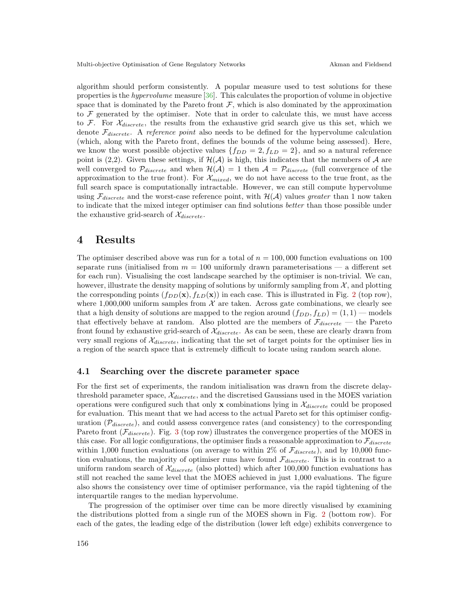algorithm should perform consistently. A popular measure used to test solutions for these properties is the hypervolume measure [\[36\]](#page-12-25). This calculates the proportion of volume in objective space that is dominated by the Pareto front  $F$ , which is also dominated by the approximation to  $\mathcal F$  generated by the optimiser. Note that in order to calculate this, we must have access to F. For  $\mathcal{X}_{discrete}$ , the results from the exhaustive grid search give us this set, which we denote  $\mathcal{F}_{discrete}$ . A reference point also needs to be defined for the hypervolume calculation (which, along with the Pareto front, defines the bounds of the volume being assessed). Here, we know the worst possible objective values  $\{f_{DD} = 2, f_{LD} = 2\}$ , and so a natural reference point is (2,2). Given these settings, if  $\mathcal{H}(\mathcal{A})$  is high, this indicates that the members of  $\mathcal A$  are well converged to  $\mathcal{P}_{discrete}$  and when  $\mathcal{H}(\mathcal{A}) = 1$  then  $\mathcal{A} = \mathcal{P}_{discrete}$  (full convergence of the approximation to the true front). For  $\mathcal{X}_{mixed}$ , we do not have access to the true front, as the full search space is computationally intractable. However, we can still compute hypervolume using  $\mathcal{F}_{discrete}$  and the worst-case reference point, with  $\mathcal{H}(\mathcal{A})$  values greater than 1 now taken to indicate that the mixed integer optimiser can find solutions better than those possible under the exhaustive grid-search of  $\mathcal{X}_{discrete}$ .

### 4 Results

The optimiser described above was run for a total of  $n = 100,000$  function evaluations on 100 separate runs (initialised from  $m = 100$  uniformly drawn parameterisations  $-$  a different set for each run). Visualising the cost landscape searched by the optimiser is non-trivial. We can, however, illustrate the density mapping of solutions by uniformly sampling from  $\mathcal{X}$ , and plotting the corresponding points  $(f_{DD}(\mathbf{x}), f_{LD}(\mathbf{x}))$  in each case. This is illustrated in Fig. [2](#page-8-0) (top row), where 1,000,000 uniform samples from  $\mathcal X$  are taken. Across gate combinations, we clearly see that a high density of solutions are mapped to the region around  $(f_{DD}, f_{LD}) = (1, 1)$  — models that effectively behave at random. Also plotted are the members of  $\mathcal{F}_{discrete}$  — the Pareto front found by exhaustive grid-search of  $\mathcal{X}_{discrete}$ . As can be seen, these are clearly drawn from very small regions of  $\mathcal{X}_{discrete}$ , indicating that the set of target points for the optimiser lies in a region of the search space that is extremely difficult to locate using random search alone.

#### 4.1 Searching over the discrete parameter space

For the first set of experiments, the random initialisation was drawn from the discrete delaythreshold parameter space,  $\mathcal{X}_{discrete}$ , and the discretised Gaussians used in the MOES variation operations were configured such that only x combinations lying in  $\mathcal{X}_{discrete}$  could be proposed for evaluation. This meant that we had access to the actual Pareto set for this optimiser configuration  $(\mathcal{P}_{discrete})$ , and could assess convergence rates (and consistency) to the corresponding Pareto front  $(\mathcal{F}_{discrete})$ . Fig. [3](#page-8-1) (top row) illustrates the convergence properties of the MOES in this case. For all logic configurations, the optimiser finds a reasonable approximation to  $\mathcal{F}_{discrete}$ within 1,000 function evaluations (on average to within 2% of  $\mathcal{F}_{discrete}$ ), and by 10,000 function evaluations, the majority of optimiser runs have found  $\mathcal{F}_{discrete}$ . This is in contrast to a uniform random search of  $\mathcal{X}_{discrete}$  (also plotted) which after 100,000 function evaluations has still not reached the same level that the MOES achieved in just 1,000 evaluations. The figure also shows the consistency over time of optimiser performance, via the rapid tightening of the interquartile ranges to the median hypervolume.

The progression of the optimiser over time can be more directly visualised by examining the distributions plotted from a single run of the MOES shown in Fig. [2](#page-8-0) (bottom row). For each of the gates, the leading edge of the distribution (lower left edge) exhibits convergence to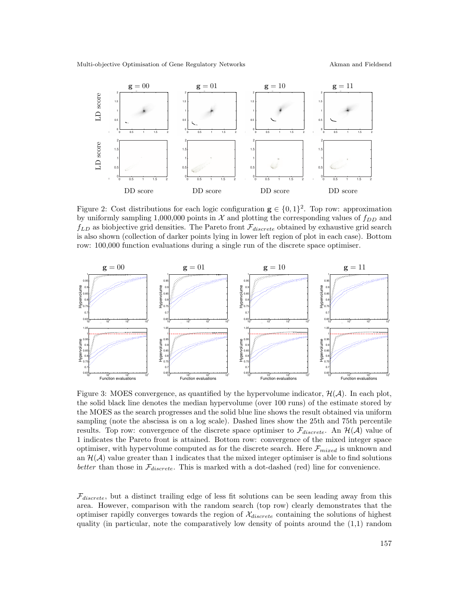<span id="page-8-0"></span>

Figure 2: Cost distributions for each logic configuration  $\mathbf{g} \in \{0,1\}^2$ . Top row: approximation by uniformly sampling 1,000,000 points in  $\mathcal X$  and plotting the corresponding values of  $f_{DD}$  and  $f_{LD}$  as biobjective grid densities. The Pareto front  $\mathcal{F}_{discrete}$  obtained by exhaustive grid search is also shown (collection of darker points lying in lower left region of plot in each case). Bottom row: 100,000 function evaluations during a single run of the discrete space optimiser.

<span id="page-8-1"></span>

Figure 3: MOES convergence, as quantified by the hypervolume indicator,  $\mathcal{H}(\mathcal{A})$ . In each plot, the solid black line denotes the median hypervolume (over 100 runs) of the estimate stored by the MOES as the search progresses and the solid blue line shows the result obtained via uniform sampling (note the abscissa is on a log scale). Dashed lines show the 25th and 75th percentile results. Top row: convergence of the discrete space optimiser to  $\mathcal{F}_{discrete}$ . An  $\mathcal{H}(\mathcal{A})$  value of 1 indicates the Pareto front is attained. Bottom row: convergence of the mixed integer space optimiser, with hypervolume computed as for the discrete search. Here  $\mathcal{F}_{mixed}$  is unknown and an  $\mathcal{H}(\mathcal{A})$  value greater than 1 indicates that the mixed integer optimiser is able to find solutions better than those in  $\mathcal{F}_{discrete}$ . This is marked with a dot-dashed (red) line for convenience.

 $\mathcal{F}_{discrete}$ , but a distinct trailing edge of less fit solutions can be seen leading away from this area. However, comparison with the random search (top row) clearly demonstrates that the optimiser rapidly converges towards the region of  $\mathcal{X}_{discrete}$  containing the solutions of highest quality (in particular, note the comparatively low density of points around the (1,1) random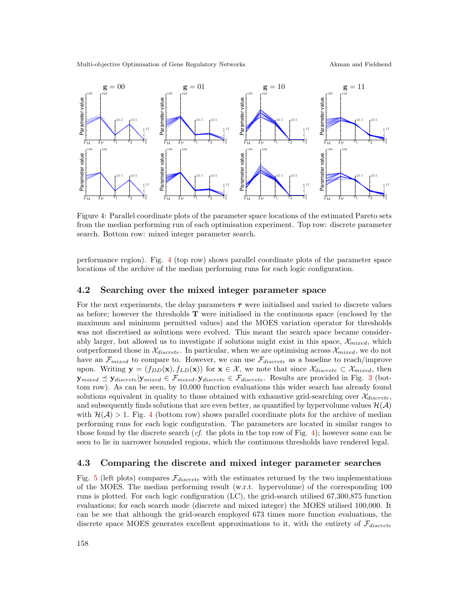<span id="page-9-0"></span>

Figure 4: Parallel coordinate plots of the parameter space locations of the estimated Pareto sets from the median performing run of each optimisation experiment. Top row: discrete parameter search. Bottom row: mixed integer parameter search.

performance region). Fig. [4](#page-9-0) (top row) shows parallel coordinate plots of the parameter space locations of the archive of the median performing runs for each logic configuration.

### 4.2 Searching over the mixed integer parameter space

For the next experiments, the delay parameters  $\tau$  were initialised and varied to discrete values as before; however the thresholds  $T$  were initialised in the continuous space (enclosed by the maximum and minimum permitted values) and the MOES variation operator for thresholds was not discretised as solutions were evolved. This meant the search space became considerably larger, but allowed us to investigate if solutions might exist in this space,  $\mathcal{X}_{mixed}$ , which outperformed those in  $\mathcal{X}_{discrete}$ . In particular, when we are optimising across  $\mathcal{X}_{mixed}$ , we do not have an  $\mathcal{F}_{mixed}$  to compare to. However, we can use  $\mathcal{F}_{discrete}$  as a baseline to reach/improve upon. Writing  $\mathbf{y} = (f_{DD}(\mathbf{x}), f_{LD}(\mathbf{x}))$  for  $\mathbf{x} \in \mathcal{X}$ , we note that since  $\mathcal{X}_{discrete} \subset \mathcal{X}_{mixed}$ , then  $\mathbf{y}_{mixed} \preceq \mathbf{y}_{discrete}|\mathbf{y}_{mixed} \in \mathcal{F}_{mixed}, \mathbf{y}_{discrete} \in \mathcal{F}_{discrete}.$  Results are provided in Fig. [3](#page-8-1) (bottom row). As can be seen, by 10,000 function evaluations this wider search has already found solutions equivalent in quality to those obtained with exhaustive grid-searching over  $\mathcal{X}_{discrete}$ , and subsequently finds solutions that are even better, as quantified by hypervolume values  $\mathcal{H}(\mathcal{A})$ with  $\mathcal{H}(\mathcal{A}) > 1$ . Fig. [4](#page-9-0) (bottom row) shows parallel coordinate plots for the archive of median performing runs for each logic configuration. The parameters are located in similar ranges to those found by the discrete search  $(cf.$  the plots in the top row of Fig. [4\)](#page-9-0); however some can be seen to lie in narrower bounded regions, which the continuous thresholds have rendered legal.

### 4.3 Comparing the discrete and mixed integer parameter searches

Fig. [5](#page-10-0) (left plots) compares  $\mathcal{F}_{discrete}$  with the estimates returned by the two implementations of the MOES. The median performing result (w.r.t. hypervolume) of the corresponding 100 runs is plotted. For each logic configuration (LC), the grid-search utilised 67,300,875 function evaluations; for each search mode (discrete and mixed integer) the MOES utilised 100,000. It can be see that although the grid-search employed 673 times more function evaluations, the discrete space MOES generates excellent approximations to it, with the entirety of  $\mathcal{F}_{discrete}$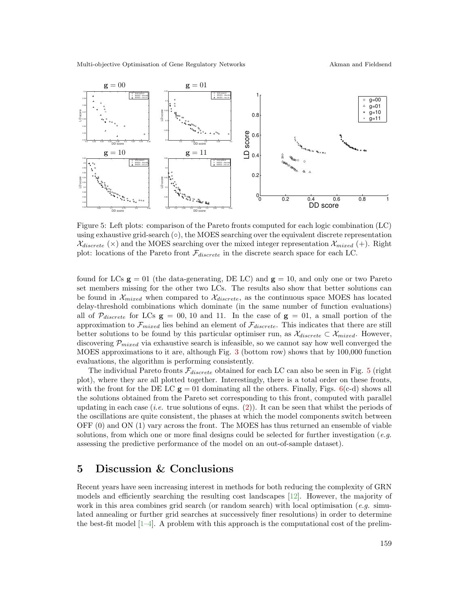<span id="page-10-0"></span>

Figure 5: Left plots: comparison of the Pareto fronts computed for each logic combination (LC) using exhaustive grid-search  $(\circ)$ , the MOES searching over the equivalent discrete representation  $\mathcal{X}_{discrete}$  (×) and the MOES searching over the mixed integer representation  $\mathcal{X}_{mixed}$  (+). Right plot: locations of the Pareto front  $\mathcal{F}_{discrete}$  in the discrete search space for each LC.

found for LCs  $g = 01$  (the data-generating, DE LC) and  $g = 10$ , and only one or two Pareto set members missing for the other two LCs. The results also show that better solutions can be found in  $\mathcal{X}_{mixed}$  when compared to  $\mathcal{X}_{discrete}$ , as the continuous space MOES has located delay-threshold combinations which dominate (in the same number of function evaluations) all of  $\mathcal{P}_{discrete}$  for LCs  $\mathbf{g} = 00, 10$  and 11. In the case of  $\mathbf{g} = 01$ , a small portion of the approximation to  $\mathcal{F}_{mixed}$  lies behind an element of  $\mathcal{F}_{discrete}$ . This indicates that there are still better solutions to be found by this particular optimiser run, as  $\mathcal{X}_{discrete} \subset \mathcal{X}_{mixed}$ . However, discovering  $\mathcal{P}_{mixed}$  via exhaustive search is infeasible, so we cannot say how well converged the MOES approximations to it are, although Fig. [3](#page-8-1) (bottom row) shows that by 100,000 function evaluations, the algorithm is performing consistently.

The individual Pareto fronts  $\mathcal{F}_{discrete}$  obtained for each LC can also be seen in Fig. [5](#page-10-0) (right plot), where they are all plotted together. Interestingly, there is a total order on these fronts, with the front for the DE LC  $g = 01$  dominating all the others. Finally, Figs. [6\(](#page-11-0)c-d) shows all the solutions obtained from the Pareto set corresponding to this front, computed with parallel updating in each case (*i.e.* true solutions of eqns. [\(2\)](#page-2-1)). It can be seen that whilst the periods of the oscillations are quite consistent, the phases at which the model components switch between OFF (0) and ON (1) vary across the front. The MOES has thus returned an ensemble of viable solutions, from which one or more final designs could be selected for further investigation (e.g. assessing the predictive performance of the model on an out-of-sample dataset).

### 5 Discussion & Conclusions

Recent years have seen increasing interest in methods for both reducing the complexity of GRN models and efficiently searching the resulting cost landscapes [\[12\]](#page-12-5). However, the majority of work in this area combines grid search (or random search) with local optimisation (e.g. simulated annealing or further grid searches at successively finer resolutions) in order to determine the best-fit model  $[1-4]$ . A problem with this approach is the computational cost of the prelim-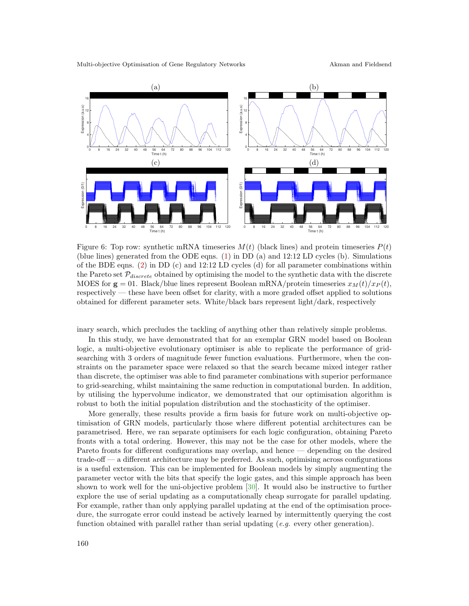<span id="page-11-0"></span>

Figure 6: Top row: synthetic mRNA timeseries  $M(t)$  (black lines) and protein timeseries  $P(t)$ (blue lines) generated from the ODE eqns. [\(1\)](#page-2-0) in DD (a) and 12:12 LD cycles (b). Simulations of the BDE eqns. [\(2\)](#page-2-1) in DD (c) and 12:12 LD cycles (d) for all parameter combinations within the Pareto set  $P_{discrete}$  obtained by optimising the model to the synthetic data with the discrete MOES for  $g = 01$ . Black/blue lines represent Boolean mRNA/protein timeseries  $x_M(t)/x_P(t)$ , respectively — these have been offset for clarity, with a more graded offset applied to solutions obtained for different parameter sets. White/black bars represent light/dark, respectively

inary search, which precludes the tackling of anything other than relatively simple problems.

In this study, we have demonstrated that for an exemplar GRN model based on Boolean logic, a multi-objective evolutionary optimiser is able to replicate the performance of gridsearching with 3 orders of magnitude fewer function evaluations. Furthermore, when the constraints on the parameter space were relaxed so that the search became mixed integer rather than discrete, the optimiser was able to find parameter combinations with superior performance to grid-searching, whilst maintaining the same reduction in computational burden. In addition, by utilising the hypervolume indicator, we demonstrated that our optimisation algorithm is robust to both the initial population distribution and the stochasticity of the optimiser.

More generally, these results provide a firm basis for future work on multi-objective optimisation of GRN models, particularly those where different potential architectures can be parametrised. Here, we ran separate optimisers for each logic configuration, obtaining Pareto fronts with a total ordering. However, this may not be the case for other models, where the Pareto fronts for different configurations may overlap, and hence — depending on the desired trade-off — a different architecture may be preferred. As such, optimising across configurations is a useful extension. This can be implemented for Boolean models by simply augmenting the parameter vector with the bits that specify the logic gates, and this simple approach has been shown to work well for the uni-objective problem [\[30\]](#page-12-20). It would also be instructive to further explore the use of serial updating as a computationally cheap surrogate for parallel updating. For example, rather than only applying parallel updating at the end of the optimisation procedure, the surrogate error could instead be actively learned by intermittently querying the cost function obtained with parallel rather than serial updating  $(e.g.$  every other generation).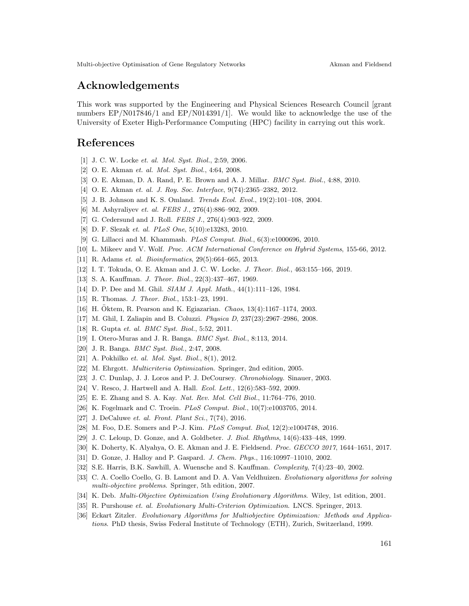## Acknowledgements

This work was supported by the Engineering and Physical Sciences Research Council [grant numbers EP/N017846/1 and EP/N014391/1]. We would like to acknowledge the use of the University of Exeter High-Performance Computing (HPC) facility in carrying out this work.

### <span id="page-12-0"></span>References

- [1] J. C. W. Locke *et. al. Mol. Syst. Biol.*, 2:59, 2006.
- [2] O. E. Akman *et. al. Mol. Syst. Biol.*, 4:64, 2008.
- <span id="page-12-1"></span>[3] O. E. Akman, D. A. Rand, P. E. Brown and A. J. Millar. *BMC Syst. Biol.*, 4:88, 2010.
- <span id="page-12-2"></span>[4] O. E. Akman *et. al. J. Roy. Soc. Interface*, 9(74):2365–2382, 2012.
- [5] J. B. Johnson and K. S. Omland. *Trends Ecol. Evol.*, 19(2):101–108, 2004.
- [6] M. Ashyraliyev *et. al. FEBS J.*, 276(4):886–902, 2009.
- [7] G. Cedersund and J. Roll. *FEBS J.*, 276(4):903–922, 2009.
- [8] D. F. Slezak *et. al. PLoS One*, 5(10):e13283, 2010.
- <span id="page-12-3"></span>[9] G. Lillacci and M. Khammash. *PLoS Comput. Biol.*, 6(3):e1000696, 2010.
- <span id="page-12-4"></span>[10] L. Mikeev and V. Wolf. *Proc. ACM International Conference on Hybrid Systems*, 155-66, 2012.
- <span id="page-12-5"></span>[11] R. Adams *et. al. Bioinformatics*, 29(5):664–665, 2013.
- <span id="page-12-6"></span>[12] I. T. Tokuda, O. E. Akman and J. C. W. Locke. *J. Theor. Biol.*, 463:155–166, 2019.
- <span id="page-12-18"></span>[13] S. A. Kauffman. *J. Theor. Biol.*, 22(3):437–467, 1969.
- [14] D. P. Dee and M. Ghil. *SIAM J. Appl. Math.*, 44(1):111–126, 1984.
- <span id="page-12-19"></span>[15] R. Thomas. *J. Theor. Biol.*, 153:1–23, 1991.
- <span id="page-12-7"></span>[16] H. Oktem, R. Pearson and K. Egiazarian. *Chaos*, 13(4):1167–1174, 2003.
- <span id="page-12-8"></span>[17] M. Ghil, I. Zaliapin and B. Coluzzi. *Physica D*, 237(23):2967–2986, 2008.
- <span id="page-12-9"></span>[18] R. Gupta *et. al. BMC Syst. Biol.*, 5:52, 2011.
- <span id="page-12-10"></span>[19] I. Otero-Muras and J. R. Banga. *BMC Syst. Biol.*, 8:113, 2014.
- <span id="page-12-11"></span>[20] J. R. Banga. *BMC Syst. Biol.*, 2:47, 2008.
- <span id="page-12-12"></span>[21] A. Pokhilko *et. al. Mol. Syst. Biol.*, 8(1), 2012.
- <span id="page-12-13"></span>[22] M. Ehrgott. *Multicriteria Optimization*. Springer, 2nd edition, 2005.
- <span id="page-12-14"></span>[23] J. C. Dunlap, J. J. Loros and P. J. DeCoursey. *Chronobiology.* Sinauer, 2003.
- <span id="page-12-15"></span>[24] V. Resco, J. Hartwell and A. Hall. *Ecol. Lett.*, 12(6):583–592, 2009.
- [25] E. E. Zhang and S. A. Kay. *Nat. Rev. Mol. Cell Biol.*, 11:764–776, 2010.
- [26] K. Fogelmark and C. Troein. *PLoS Comput. Biol.*, 10(7):e1003705, 2014.
- <span id="page-12-16"></span>[27] J. DeCaluwe *et. al. Front. Plant Sci.*, 7(74), 2016.
- <span id="page-12-17"></span>[28] M. Foo, D.E. Somers and P.-J. Kim. *PLoS Comput. Biol*, 12(2):e1004748, 2016.
- <span id="page-12-20"></span>[29] J. C. Leloup, D. Gonze, and A. Goldbeter. *J. Biol. Rhythms*, 14(6):433–448, 1999.
- <span id="page-12-21"></span>[30] K. Doherty, K. Alyahya, O. E. Akman and J. E. Fieldsend. *Proc. GECCO 2017*, 1644–1651, 2017.
- <span id="page-12-22"></span>[31] D. Gonze, J. Halloy and P. Gaspard. *J. Chem. Phys.*, 116:10997–11010, 2002.
- <span id="page-12-23"></span>[32] S.E. Harris, B.K. Sawhill, A. Wuensche and S. Kauffman. *Complexity*, 7(4):23–40, 2002.
- [33] C. A. Coello Coello, G. B. Lamont and D. A. Van Veldhuizen. *Evolutionary algorithms for solving multi-objective problems*. Springer, 5th edition, 2007.
- <span id="page-12-24"></span>[34] K. Deb. *Multi-Objective Optimization Using Evolutionary Algorithms*. Wiley, 1st edition, 2001.
- <span id="page-12-25"></span>[35] R. Purshouse *et. al. Evolutionary Multi-Criterion Optimization*. LNCS. Springer, 2013.
- [36] Eckart Zitzler. *Evolutionary Algorithms for Multiobjective Optimization: Methods and Applications*. PhD thesis, Swiss Federal Institute of Technology (ETH), Zurich, Switzerland, 1999.